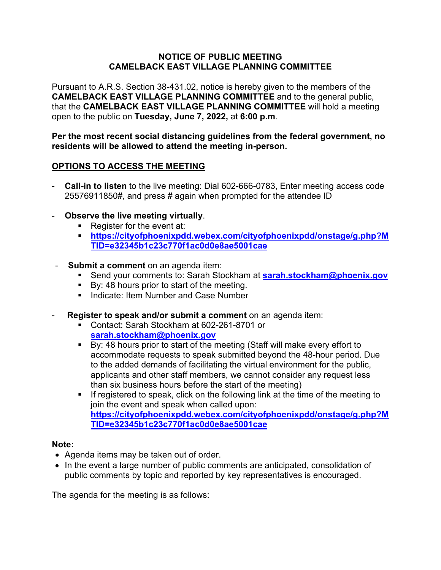### **NOTICE OF PUBLIC MEETING CAMELBACK EAST VILLAGE PLANNING COMMITTEE**

Pursuant to A.R.S. Section 38-431.02, notice is hereby given to the members of the **CAMELBACK EAST VILLAGE PLANNING COMMITTEE** and to the general public, that the **CAMELBACK EAST VILLAGE PLANNING COMMITTEE** will hold a meeting open to the public on **Tuesday, June 7, 2022,** at **6:00 p.m**.

**Per the most recent social distancing guidelines from the federal government, no residents will be allowed to attend the meeting in-person.**

# **OPTIONS TO ACCESS THE MEETING**

- **Call-in to listen** to the live meeting: Dial 602-666-0783, Enter meeting access code 25576911850#, and press # again when prompted for the attendee ID
- **Observe the live meeting virtually**.
	- Register for the event at:
	- **[https://cityofphoenixpdd.webex.com/cityofphoenixpdd/onstage/g.php?M](https://cityofphoenixpdd.webex.com/cityofphoenixpdd/onstage/g.php?MTID=e32345b1c23c770f1ac0d0e8ae5001cae) [TID=e32345b1c23c770f1ac0d0e8ae5001cae](https://cityofphoenixpdd.webex.com/cityofphoenixpdd/onstage/g.php?MTID=e32345b1c23c770f1ac0d0e8ae5001cae)**
- **Submit a comment** on an agenda item:
	- Send your comments to: Sarah Stockham at **[sarah.stockham@phoenix.gov](mailto:sarah.stockham@phoenix.gov)**
	- By: 48 hours prior to start of the meeting.
	- **Indicate: Item Number and Case Number**
- **Register to speak and/or submit a comment** on an agenda item:
	- Contact: Sarah Stockham at 602-261-8701 or **[sarah.stockham@phoenix.gov](mailto:sarah.stockham@phoenix.gov)**
	- $\overline{B}$  By: 48 hours prior to start of the meeting (Staff will make every effort to accommodate requests to speak submitted beyond the 48-hour period. Due to the added demands of facilitating the virtual environment for the public, applicants and other staff members, we cannot consider any request less than six business hours before the start of the meeting)
	- **If registered to speak, click on the following link at the time of the meeting to** join the event and speak when called upon: **[https://cityofphoenixpdd.webex.com/cityofphoenixpdd/onstage/g.php?M](https://cityofphoenixpdd.webex.com/cityofphoenixpdd/onstage/g.php?MTID=e32345b1c23c770f1ac0d0e8ae5001cae) [TID=e32345b1c23c770f1ac0d0e8ae5001cae](https://cityofphoenixpdd.webex.com/cityofphoenixpdd/onstage/g.php?MTID=e32345b1c23c770f1ac0d0e8ae5001cae)**

# **Note:**

- Agenda items may be taken out of order.
- In the event a large number of public comments are anticipated, consolidation of public comments by topic and reported by key representatives is encouraged.

The agenda for the meeting is as follows: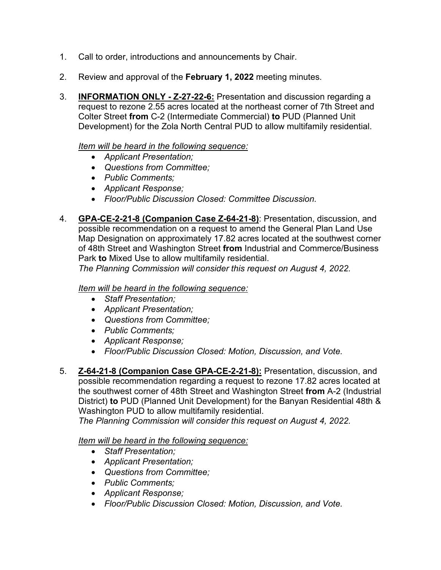- 1. Call to order, introductions and announcements by Chair.
- 2. Review and approval of the **February 1, 2022** meeting minutes.
- 3. **INFORMATION ONLY - Z-27-22-6:** Presentation and discussion regarding a request to rezone 2.55 acres located at the northeast corner of 7th Street and Colter Street **from** C-2 (Intermediate Commercial) **to** PUD (Planned Unit Development) for the Zola North Central PUD to allow multifamily residential.

## *Item will be heard in the following sequence:*

- *Applicant Presentation;*
- *Questions from Committee;*
- *Public Comments;*
- *Applicant Response;*
- *Floor/Public Discussion Closed: Committee Discussion.*
- 4. **GPA-CE-2-21-8 (Companion Case Z-64-21-8)**: Presentation, discussion, and possible recommendation on a request to amend the General Plan Land Use Map Designation on approximately 17.82 acres located at the southwest corner of 48th Street and Washington Street **from** Industrial and Commerce/Business Park **to** Mixed Use to allow multifamily residential.

*The Planning Commission will consider this request on August 4, 2022.* 

## *Item will be heard in the following sequence:*

- *Staff Presentation;*
- *Applicant Presentation;*
- *Questions from Committee;*
- *Public Comments;*
- *Applicant Response;*
- *Floor/Public Discussion Closed: Motion, Discussion, and Vote.*
- 5. **Z-64-21-8 (Companion Case GPA-CE-2-21-8):** Presentation, discussion, and possible recommendation regarding a request to rezone 17.82 acres located at the southwest corner of 48th Street and Washington Street **from** A-2 (Industrial District) **to** PUD (Planned Unit Development) for the Banyan Residential 48th & Washington PUD to allow multifamily residential.

*The Planning Commission will consider this request on August 4, 2022.* 

#### *Item will be heard in the following sequence:*

- *Staff Presentation;*
- *Applicant Presentation;*
- *Questions from Committee;*
- *Public Comments;*
- *Applicant Response;*
- *Floor/Public Discussion Closed: Motion, Discussion, and Vote.*